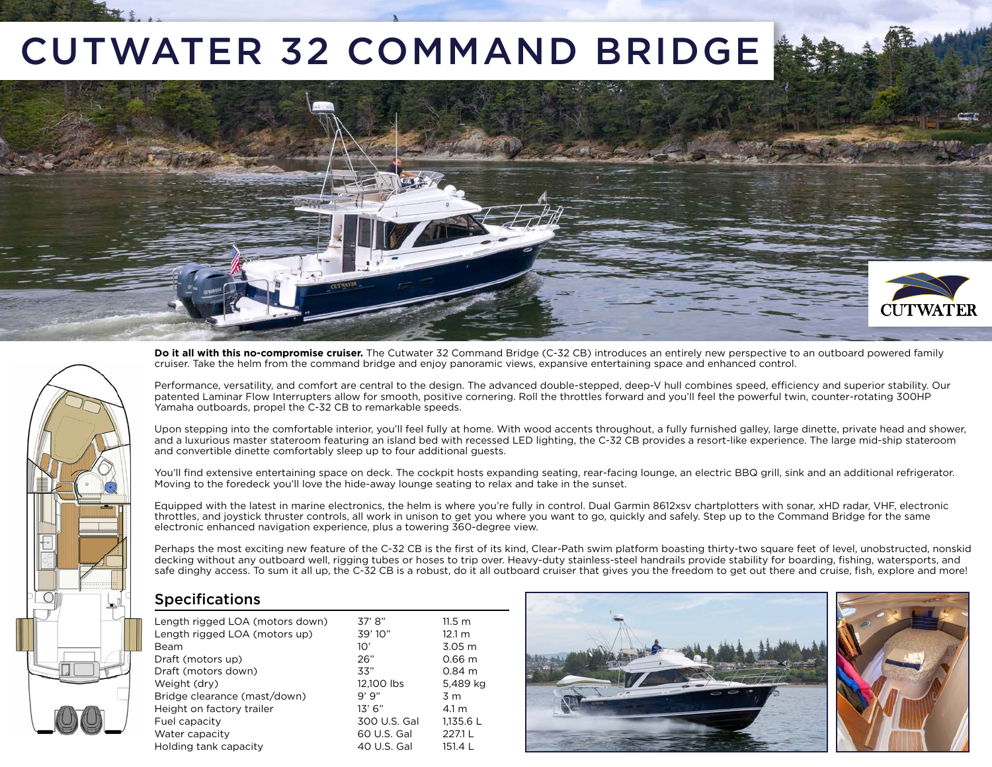# CUTWATER 32 COMMAND BRIDGE **CUTWATE**



**Do it all with this no-compromise cruiser.** The Cutwater 32 Command Bridge (C-32 CB) introduces an entirely new perspective to an outboard powered family cruiser. Take the helm from the command bridge and enjoy panoramic views, expansive entertaining space and enhanced control.

Performance, versatility, and comfort are central to the design. The advanced double-stepped, deep-V hull combines speed, efficiency and superior stability. Our patented Laminar Flow Interrupters allow for smooth, positive cornering. Roll the throttles forward and you'll feel the powerful twin, counter-rotating 300HP Yamaha outboards, propel the C-32 CB to remarkable speeds.

Upon stepping into the comfortable interior, you'll feel fully at home. With wood accents throughout, a fully furnished galley, large dinette, private head and shower, and a luxurious master stateroom featuring an island bed with recessed LED lighting, the C-32 CB provides a resort-like experience. The large mid-ship stateroom and convertible dinette comfortably sleep up to four additional guests.

You'll find extensive entertaining space on deck. The cockpit hosts expanding seating, rear-facing lounge, an electric BBQ grill, sink and an additional refrigerator. Moving to the foredeck you'll love the hide-away lounge seating to relax and take in the sunset.

Equipped with the latest in marine electronics, the helm is where you're fully in control. Dual Garmin 8612xsv chartplotters with sonar, xHD radar, VHF, electronic throttles, and joystick thruster controls, all work in unison to get you where you want to go, quickly and safely. Step up to the Command Bridge for the same electronic enhanced navigation experience, plus a towering 360-degree view.

Perhaps the most exciting new feature of the C-32 CB is the first of its kind, Clear-Path swim platform boasting thirty-two square feet of level, unobstructed, nonskid decking without any outboard well, rigging tubes or hoses to trip over. Heavy-duty stainless-steel handrails provide stability for boarding, fishing, watersports, and safe dinghy access. To sum it all up, the C-32 CB is a robust, do it all outboard cruiser that gives you the freedom to get out there and cruise, fish, explore and more!

### Specifications

| Length rigged LOA (motors down) | 37' 8''      | $11.5 \text{ m}$  |
|---------------------------------|--------------|-------------------|
| Length rigged LOA (motors up)   | 39'10''      | 12.1 m            |
| Beam                            | 10'          | 3.05 <sub>m</sub> |
| Draft (motors up)               | 26"          | 0.66 <sub>m</sub> |
| Draft (motors down)             | 33"          | $0.84 \; m$       |
| Weight (dry)                    | 12.100 lbs   | 5,489 kg          |
| Bridge clearance (mast/down)    | 9'9''        | 3 m               |
| Height on factory trailer       | 13' 6"       | 4.1 m             |
| Fuel capacity                   | 300 U.S. Gal | 1,135.6 L         |
| Water capacity                  | 60 U.S. Gal  | 227.1 L           |
| Holding tank capacity           | 40 U.S. Gal  | 151.4 L           |